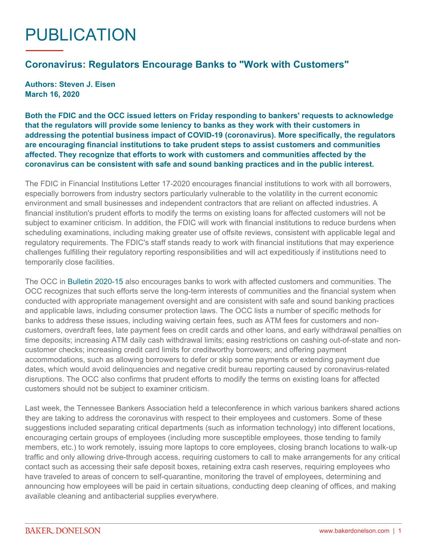## PUBLICATION

## **Coronavirus: Regulators Encourage Banks to "Work with Customers"**

**Authors: Steven J. Eisen March 16, 2020**

**Both the FDIC and the OCC issued letters on Friday responding to bankers' requests to acknowledge that the regulators will provide some leniency to banks as they work with their customers in addressing the potential business impact of COVID-19 (coronavirus). More specifically, the regulators are encouraging financial institutions to take prudent steps to assist customers and communities affected. They recognize that efforts to work with customers and communities affected by the coronavirus can be consistent with safe and sound banking practices and in the public interest.**

The FDIC in Financial Institutions Letter 17-2020 encourages financial institutions to work with all borrowers, especially borrowers from industry sectors particularly vulnerable to the volatility in the current economic environment and small businesses and independent contractors that are reliant on affected industries. A financial institution's prudent efforts to modify the terms on existing loans for affected customers will not be subject to examiner criticism. In addition, the FDIC will work with financial institutions to reduce burdens when scheduling examinations, including making greater use of offsite reviews, consistent with applicable legal and regulatory requirements. The FDIC's staff stands ready to work with financial institutions that may experience challenges fulfilling their regulatory reporting responsibilities and will act expeditiously if institutions need to temporarily close facilities.

The OCC in [Bulletin 2020-15](https://www.occ.gov/news-issuances/bulletins/2020/bulletin-2020-15.html) also encourages banks to work with affected customers and communities. The OCC recognizes that such efforts serve the long-term interests of communities and the financial system when conducted with appropriate management oversight and are consistent with safe and sound banking practices and applicable laws, including consumer protection laws. The OCC lists a number of specific methods for banks to address these issues, including waiving certain fees, such as ATM fees for customers and noncustomers, overdraft fees, late payment fees on credit cards and other loans, and early withdrawal penalties on time deposits; increasing ATM daily cash withdrawal limits; easing restrictions on cashing out-of-state and noncustomer checks; increasing credit card limits for creditworthy borrowers; and offering payment accommodations, such as allowing borrowers to defer or skip some payments or extending payment due dates, which would avoid delinquencies and negative credit bureau reporting caused by coronavirus-related disruptions. The OCC also confirms that prudent efforts to modify the terms on existing loans for affected customers should not be subject to examiner criticism.

Last week, the Tennessee Bankers Association held a teleconference in which various bankers shared actions they are taking to address the coronavirus with respect to their employees and customers. Some of these suggestions included separating critical departments (such as information technology) into different locations, encouraging certain groups of employees (including more susceptible employees, those tending to family members, etc.) to work remotely, issuing more laptops to core employees, closing branch locations to walk-up traffic and only allowing drive-through access, requiring customers to call to make arrangements for any critical contact such as accessing their safe deposit boxes, retaining extra cash reserves, requiring employees who have traveled to areas of concern to self-quarantine, monitoring the travel of employees, determining and announcing how employees will be paid in certain situations, conducting deep cleaning of offices, and making available cleaning and antibacterial supplies everywhere.